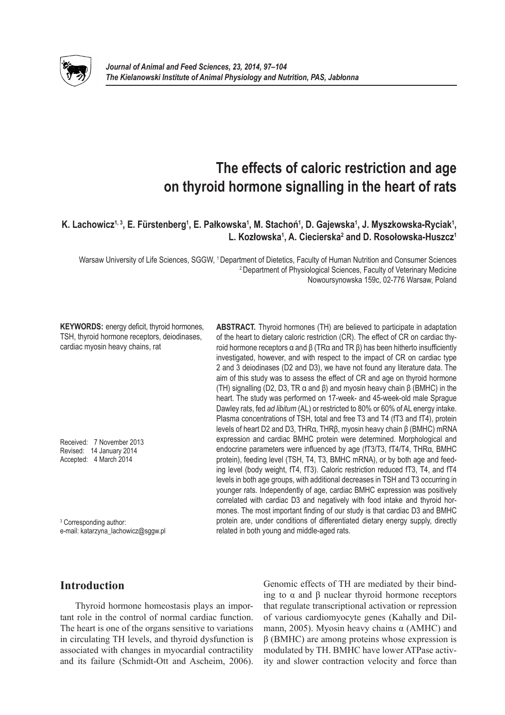

# **The effects of caloric restriction and age on thyroid hormone signalling in the heart of rats**

# $K$ . Lachowicz<sup>1, 3</sup>, E. Fürstenberg<sup>1</sup>, E. Pałkowska<sup>1</sup>, M. Stachoń<sup>1</sup>, D. Gajewska<sup>1</sup>, J. Myszkowska-Ryciak<sup>1</sup>, **L. Kozłowska<sup>1</sup> , A. Ciecierska<sup>2</sup> and D. Rosołowska-Huszcz<sup>1</sup>**

Warsaw University of Life Sciences, SGGW, 1 Department of Dietetics, Faculty of Human Nutrition and Consumer Sciences 2 Department of Physiological Sciences, Faculty of Veterinary Medicine Nowoursynowska 159c, 02-776 Warsaw, Poland

**KEYWORDS:** energy deficit, thyroid hormones, TSH, thyroid hormone receptors, deiodinases, cardiac myosin heavy chains, rat

Received: 7 November 2013 Revised: 14 January 2014 Accepted: 4 March 2014

<sup>3</sup> Corresponding author: e-mail: katarzyna\_lachowicz@sggw.pl **ABSTRACT.** Thyroid hormones (TH) are believed to participate in adaptation of the heart to dietary caloric restriction (CR). The effect of CR on cardiac thyroid hormone receptors α and β (TRα and TR β) has been hitherto insufficiently investigated, however, and with respect to the impact of CR on cardiac type 2 and 3 deiodinases (D2 and D3), we have not found any literature data. The aim of this study was to assess the effect of CR and age on thyroid hormone (TH) signalling (D2, D3, TR α and β) and myosin heavy chain β (BMHC) in the heart. The study was performed on 17-week- and 45-week-old male Sprague Dawley rats, fed *ad libitum* (AL) or restricted to 80% or 60% of AL energy intake. Plasma concentrations of TSH, total and free T3 and T4 (fT3 and fT4), protein levels of heart D2 and D3, THRα, THRβ, myosin heavy chain β (BMHC) mRNA expression and cardiac BMHC protein were determined. Morphological and endocrine parameters were influenced by age (fT3/T3, fT4/T4, THRα, BMHC protein), feeding level (TSH, T4, T3, BMHC mRNA), or by both age and feeding level (body weight, fT4, fT3). Caloric restriction reduced fT3, T4, and fT4 levels in both age groups, with additional decreases in TSH and T3 occurring in younger rats. Independently of age, cardiac BMHC expression was positively correlated with cardiac D3 and negatively with food intake and thyroid hormones. The most important finding of our study is that cardiac D3 and BMHC protein are, under conditions of differentiated dietary energy supply, directly related in both young and middle-aged rats.

# **Introduction**

Thyroid hormone homeostasis plays an important role in the control of normal cardiac function. The heart is one of the organs sensitive to variations in circulating TH levels, and thyroid dysfunction is associated with changes in myocardial contractility and its failure (Schmidt-Ott and Ascheim, 2006).

Genomic effects of TH are mediated by their binding to α and β nuclear thyroid hormone receptors that regulate transcriptional activation or repression of various cardiomyocyte genes (Kahally and Dilmann, 2005). Myosin heavy chains  $\alpha$  (AMHC) and  $β$  (BMHC) are among proteins whose expression is modulated by TH. BMHC have lower ATPase activity and slower contraction velocity and force than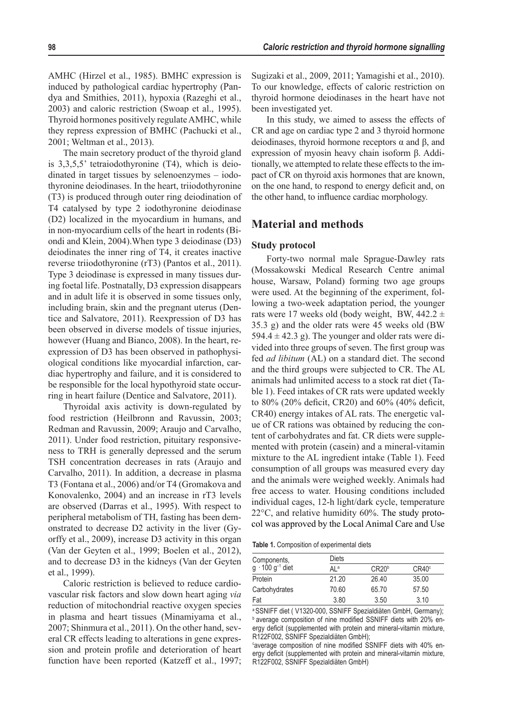AMHC (Hirzel et al., 1985). BMHC expression is induced by pathological cardiac hypertrophy (Pandya and Smithies, 2011), hypoxia (Razeghi et al., 2003) and caloric restriction (Swoap et al., 1995). Thyroid hormones positively regulate AMHC, while they repress expression of BMHC (Pachucki et al., 2001; Weltman et al., 2013).

The main secretory product of the thyroid gland is 3,3,5,5' tetraiodothyronine (T4), which is deiodinated in target tissues by selenoenzymes – iodothyronine deiodinases. In the heart, triiodothyronine (T3) is produced through outer ring deiodination of T4 catalysed by type 2 iodothyronine deiodinase (D2) localized in the myocardium in humans, and in non-myocardium cells of the heart in rodents (Biondi and Klein, 2004).When type 3 deiodinase (D3) deiodinates the inner ring of T4, it creates inactive reverse triiodothyronine (rT3) (Pantos et al., 2011). Type 3 deiodinase is expressed in many tissues during foetal life. Postnatally, D3 expression disappears and in adult life it is observed in some tissues only, including brain, skin and the pregnant uterus (Dentice and Salvatore, 2011). Reexpression of D3 has been observed in diverse models of tissue injuries, however (Huang and Bianco, 2008). In the heart, reexpression of D3 has been observed in pathophysiological conditions like myocardial infarction, cardiac hypertrophy and failure, and it is considered to be responsible for the local hypothyroid state occurring in heart failure (Dentice and Salvatore, 2011).

Thyroidal axis activity is down-regulated by food restriction (Heilbronn and Ravussin, 2003; Redman and Ravussin, 2009; Araujo and Carvalho, 2011). Under food restriction, pituitary responsiveness to TRH is generally depressed and the serum TSH concentration decreases in rats (Araujo and Carvalho, 2011). In addition, a decrease in plasma T3 (Fontana et al., 2006) and/or T4 (Gromakova and Konovalenko, 2004) and an increase in rT3 levels are observed (Darras et al., 1995). With respect to peripheral metabolism of TH, fasting has been demonstrated to decrease D2 activity in the liver (Gyorffy et al., 2009), increase D3 activity in this organ (Van der Geyten et al., 1999; Boelen et al., 2012), and to decrease D3 in the kidneys (Van der Geyten et al., 1999).

Caloric restriction is believed to reduce cardiovascular risk factors and slow down heart aging *via*  reduction of mitochondrial reactive oxygen species in plasma and heart tissues (Minamiyama et al., 2007; Shinmura et al., 2011). On the other hand, several CR effects leading to alterations in gene expression and protein profile and deterioration of heart function have been reported (Katzeff et al., 1997; Sugizaki et al., 2009, 2011; Yamagishi et al., 2010). To our knowledge, effects of caloric restriction on thyroid hormone deiodinases in the heart have not been investigated yet.

In this study, we aimed to assess the effects of CR and age on cardiac type 2 and 3 thyroid hormone deiodinases, thyroid hormone receptors α and β, and expression of myosin heavy chain isoform β. Additionally, we attempted to relate these effects to the impact of CR on thyroid axis hormones that are known, on the one hand, to respond to energy deficit and, on the other hand, to influence cardiac morphology.

## **Material and methods**

#### **Study protocol**

Forty-two normal male Sprague-Dawley rats (Mossakowski Medical Research Centre animal house, Warsaw, Poland) forming two age groups were used. At the beginning of the experiment, following a two-week adaptation period, the younger rats were 17 weeks old (body weight, BW,  $442.2 \pm$ 35.3 g) and the older rats were 45 weeks old (BW 594.4  $\pm$  42.3 g). The younger and older rats were divided into three groups of seven. The first group was fed *ad libitum* (AL) on a standard diet. The second and the third groups were subjected to CR. The AL animals had unlimited access to a stock rat diet (Table 1). Feed intakes of CR rats were updated weekly to 80% (20% deficit, CR20) and 60% (40% deficit, CR40) energy intakes of AL rats. The energetic value of CR rations was obtained by reducing the content of carbohydrates and fat. CR diets were supplemented with protein (casein) and a mineral-vitamin mixture to the AL ingredient intake (Table 1). Feed consumption of all groups was measured every day and the animals were weighed weekly. Animals had free access to water. Housing conditions included individual cages, 12-h light/dark cycle, temperature 22°C, and relative humidity 60%. The study protocol was approved by the Local Animal Care and Use

**Table 1.** Composition of experimental diets

| Diets             |       |  |  |  |  |
|-------------------|-------|--|--|--|--|
| CR20 <sup>b</sup> | CR40° |  |  |  |  |
| 21.20<br>26.40    | 35.00 |  |  |  |  |
| 70.60<br>65.70    | 57.50 |  |  |  |  |
| 3.80<br>3.50      | 3.10  |  |  |  |  |
|                   |       |  |  |  |  |

a SSNIFF diet ( V1320-000, SSNIFF Spezialdiäten GmbH, Germany); **b** average composition of nine modified SSNIFF diets with 20% energy deficit (supplemented with protein and mineral-vitamin mixture, R122F002, SSNIFF Spezialdiäten GmbH);

<sup>c</sup>average composition of nine modified SSNIFF diets with 40% energy deficit (supplemented with protein and mineral-vitamin mixture, R122F002, SSNIFF Spezialdiäten GmbH)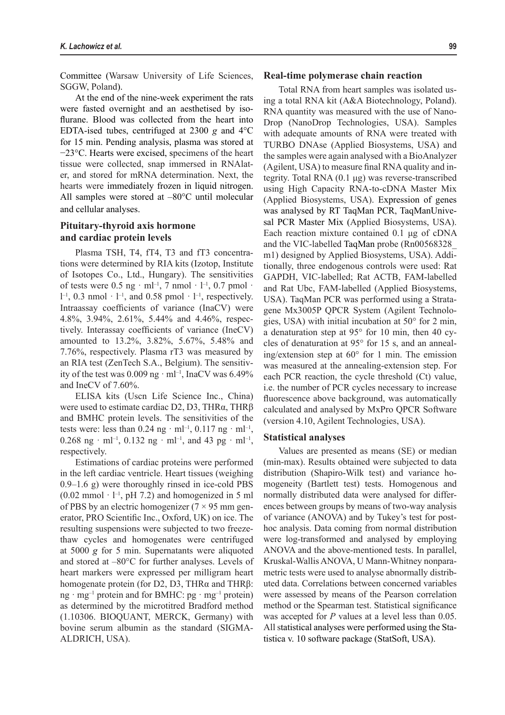Committee (Warsaw University of Life Sciences, SGGW, Poland).

At the end of the nine-week experiment the rats were fasted overnight and an aesthetised by isoflurane. Blood was collected from the heart into EDTA-ised tubes, centrifuged at 2300 *g* and 4°C for 15 min. Pending analysis, plasma was stored at −23°C. Hearts were excised, specimens of the heart tissue were collected, snap immersed in RNAlater, and stored for mRNA determination. Next, the hearts were immediately frozen in liquid nitrogen. All samples were stored at –80°C until molecular and cellular analyses.

## **Pituitary-thyroid axis hormone and cardiac protein levels**

Plasma TSH, T4, fT4, T3 and fT3 concentrations were determined by RIA kits (Izotop, Institute of Isotopes Co., Ltd., Hungary). The sensitivities of tests were  $0.5$  ng · ml<sup>-1</sup>, 7 nmol · l<sup>-1</sup>, 0.7 pmol ·  $l^{-1}$ , 0.3 nmol  $\cdot$  l<sup>-1</sup>, and 0.58 pmol  $\cdot$  l<sup>-1</sup>, respectively. Intraassay coefficients of variance (InaCV) were 4.8%, 3.94%, 2.61%, 5.44% and 4.46%, respectively. Interassay coefficients of variance (IneCV) amounted to 13.2%, 3.82%, 5.67%, 5.48% and 7.76%, respectively. Plasma rT3 was measured by an RIA test (ZenTech S.A., Belgium). The sensitivity of the test was  $0.009$  ng  $\cdot$  ml<sup>-1</sup>, InaCV was  $6.49\%$ and IneCV of 7.60%.

ELISA kits (Uscn Life Science Inc., China) were used to estimate cardiac D2, D3, THRα, THRβ and BMHC protein levels. The sensitivities of the tests were: less than  $0.24$  ng · ml<sup>-1</sup>,  $0.117$  ng · ml<sup>-1</sup>, 0.268 ng · ml<sup>-1</sup>, 0.132 ng · ml<sup>-1</sup>, and 43 pg · ml<sup>-1</sup>, respectively.

Estimations of cardiac proteins were performed in the left cardiac ventricle. Heart tissues (weighing 0.9–1.6 g) were thoroughly rinsed in ice-cold PBS  $(0.02 \text{ mmol} \cdot l^{-1}, pH 7.2)$  and homogenized in 5 ml of PBS by an electric homogenizer  $(7 \times 95 \text{ mm})$  generator, PRO Scientific Inc., Oxford, UK) on ice. The resulting suspensions were subjected to two freezethaw cycles and homogenates were centrifuged at 5000 *g* for 5 min. Supernatants were aliquoted and stored at –80°C for further analyses. Levels of heart markers were expressed per milligram heart homogenate protein (for D2, D3, THRα and THRβ: ng · mg<sup>-1</sup> protein and for BMHC: pg · mg<sup>-1</sup> protein) as determined by the microtitred Bradford method (1.10306. BIOQUANT, MERCK, Germany) with bovine serum albumin as the standard (SIGMA-ALDRICH, USA).

#### **Real-time polymerase chain reaction**

Total RNA from heart samples was isolated using a total RNA kit (A&A Biotechnology, Poland). RNA quantity was measured with the use of Nano-Drop (NanoDrop Technologies, USA). Samples with adequate amounts of RNA were treated with TURBO DNAse (Applied Biosystems, USA) and the samples were again analysed with a BioAnalyzer (Agilent, USA) to measure final RNA quality and integrity. Total RNA (0.1 μg) was reverse-transcribed using High Capacity RNA-to-cDNA Master Mix (Applied Biosystems, USA). Expression of genes was analysed by RT TaqMan PCR, TaqManUnivesal PCR Master Mix (Applied Biosystems, USA). Each reaction mixture contained 0.1 μg of cDNA and the VIC-labelled TaqMan probe (Rn00568328\_ m1) designed by Applied Biosystems, USA). Additionally, three endogenous controls were used: Rat GAPDH, VIC-labelled; Rat ACTB, FAM-labelled and Rat Ubc, FAM-labelled (Applied Biosystems, USA). TaqMan PCR was performed using a Stratagene Mx3005P QPCR System (Agilent Technologies, USA) with initial incubation at 50° for 2 min, a denaturation step at 95° for 10 min, then 40 cycles of denaturation at 95° for 15 s, and an annealing/extension step at 60° for 1 min. The emission was measured at the annealing-extension step. For each PCR reaction, the cycle threshold (Ct) value, i.e. the number of PCR cycles necessary to increase fluorescence above background, was automatically calculated and analysed by MxPro QPCR Software (version 4.10, Agilent Technologies, USA).

#### **Statistical analyses**

Values are presented as means (SE) or median (min-max). Results obtained were subjected to data distribution (Shapiro-Wilk test) and variance homogeneity (Bartlett test) tests. Homogenous and normally distributed data were analysed for differences between groups by means of two-way analysis of variance (ANOVA) and by Tukey's test for posthoc analysis. Data coming from normal distribution were log-transformed and analysed by employing ANOVA and the above-mentioned tests. In parallel, Kruskal-Wallis ANOVA, U Mann-Whitney nonparametric tests were used to analyse abnormally distributed data. Correlations between concerned variables were assessed by means of the Pearson correlation method or the Spearman test. Statistical significance was accepted for *P* values at a level less than 0.05. All statistical analyses were performed using the Statistica v. 10 software package (StatSoft, USA).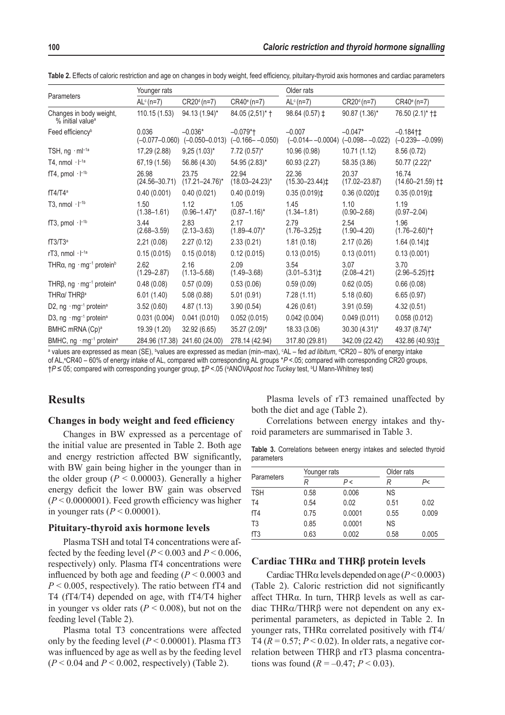| Parameters                                               | Younger rats               |                                                    |                                                | Older rats                                         |                            |                                      |
|----------------------------------------------------------|----------------------------|----------------------------------------------------|------------------------------------------------|----------------------------------------------------|----------------------------|--------------------------------------|
|                                                          | $ALc$ (n=7)                | CR20 <sup>d</sup> (n=7)                            | CR40 <sup>e</sup> (n=7)                        | $ALc$ (n=7)                                        | CR20 <sup>d</sup> (n=7)    | $CR40°(n=7)$                         |
| Changes in body weight,<br>% initial value <sup>a</sup>  | 110.15(1.53)               | 94.13 (1.94)*                                      | 84.05 (2,51)* +                                | 98.64 (0.57) $\ddagger$                            | 90.87 (1.36)*              | 76.50 (2.1)* †‡                      |
| Feed efficiency <sup>b</sup>                             | 0.036                      | $-0.036*$<br>$(-0.077 - 0.060)$ $(-0.050 - 0.013)$ | $-0.079$ <sup>*</sup> t<br>$(-0.166 - -0.050)$ | $-0.007$<br>$(-0.014 - 0.0004)$ $(-0.098 - 0.022)$ | $-0.047*$                  | $-0.184$ †‡<br>$(-0.239 - -0.099)$   |
| TSH, $ng \cdot ml^{-1a}$                                 | 17,29 (2.88)               | $9,25(1.03)^{*}$                                   | $7.72(0.57)^*$                                 | 10.96 (0.98)                                       | 10.71 (1.12)               | 8.56(0.72)                           |
| T4, nmol $\cdot$ $I^{-1a}$                               | 67,19 (1.56)               | 56.86 (4.30)                                       | 54.95 (2.83)*                                  | 60.93 (2.27)                                       | 58.35 (3.86)               | 50.77 (2.22)*                        |
| fT4, pmol $\cdot$ $\vdash$ <sup>1b</sup>                 | 26.98<br>$(24.56 - 30.71)$ | 23.75<br>$(17.21 - 24.76)^*$                       | 22.94<br>$(18.03 - 24.23)^*$                   | 22.36<br>$(15.30 - 23.44)$                         | 20.37<br>$(17.02 - 23.87)$ | 16.74<br>$(14.60 - 21.59)$ †‡        |
| $fT4/T4^a$                                               | 0.40(0.001)                | 0.40(0.021)                                        | 0.40(0.019)                                    | $0.35(0.019)$ ‡                                    | 0.36(0.020)                | $0.35(0.019)$ ‡                      |
| T <sub>3</sub> , nmol $\cdot$ $I^{-1b}$                  | 1.50<br>$(1.38 - 1.61)$    | 1.12<br>$(0.96 - 1.47)^*$                          | 1.05<br>$(0.87 - 1.16)^*$                      | 1.45<br>$(1.34 - 1.81)$                            | 1.10<br>$(0.90 - 2.68)$    | 1.19<br>$(0.97 - 2.04)$              |
| fT3, pmol $\cdot$ $\vdash$ <sup>1b</sup>                 | 3.44<br>$(2.68 - 3.59)$    | 2.83<br>$(2.13 - 3.63)$                            | 2.17<br>$(1.89 - 4.07)^*$                      | 2.79<br>$(1.76 - 3.25)$                            | 2.54<br>$(1.90 - 4.20)$    | 1.96<br>$(1.76 - 2.60)^{*}$          |
| fT3/T3 <sup>a</sup>                                      | 2,21(0.08)                 | 2.27(0.12)                                         | 2.33(0.21)                                     | 1.81(0.18)                                         | 2.17(0.26)                 | 1.64(0.14)                           |
| rT3, nmol $\cdot$ $\mathsf{I}^{-1a}$                     | 0.15(0.015)                | 0.15(0.018)                                        | 0.12(0.015)                                    | 0.13(0.015)                                        | 0.13(0.011)                | 0.13(0.001)                          |
| THRa, ng $\cdot$ mg <sup>-1</sup> protein <sup>b</sup>   | 2.62<br>$(1.29 - 2.87)$    | 2.16<br>$(1.13 - 5.68)$                            | 2.09<br>$(1.49 - 3.68)$                        | 3.54<br>$(3.01 - 5.31)$                            | 3.07<br>$(2.08 - 4.21)$    | 3.70<br>$(2.96 - 5.25)$ <sup>+</sup> |
| THR $\beta$ , ng · mg <sup>-1</sup> protein <sup>a</sup> | 0.48(0.08)                 | 0.57(0.09)                                         | 0.53(0.06)                                     | 0.59(0.09)                                         | 0.62(0.05)                 | 0.66(0.08)                           |
| THRα/ THRβ <sup>a</sup>                                  | 6.01(1.40)                 | 5.08(0.88)                                         | 5.01(0.91)                                     | 7.28(1.11)                                         | 5.18(0.60)                 | 6.65(0.97)                           |
| D2, ng · mg <sup>-1</sup> protein <sup>a</sup>           | 3.52(0.60)                 | 4.87(1.13)                                         | 3.90(0.54)                                     | 4.26(0.61)                                         | 3.91(0.59)                 | 4.32(0.51)                           |
| D3, ng · mg <sup>-1</sup> protein <sup>a</sup>           | 0.031(0.004)               | 0.041(0.010)                                       | 0.052(0.015)                                   | 0.042(0.004)                                       | 0.049(0.011)               | 0.058(0.012)                         |
| BMHC mRNA (Cp) <sup>a</sup>                              | 19.39 (1.20)               | 32.92 (6.65)                                       | 35.27 (2.09)*                                  | 18.33 (3.06)                                       | 30.30 (4.31)*              | 49.37 (8.74)*                        |
| BMHC, ng · mg <sup>-1</sup> protein <sup>a</sup>         | 284.96 (17.38)             | 241.60 (24.00)                                     | 278.14 (42.94)                                 | 317.80 (29.81)                                     | 342.09 (22.42)             | 432.86 (40.93)‡                      |

**Table 2.** Effects of caloric restriction and age on changes in body weight, feed efficiency, pituitary-thyroid axis hormones and cardiac parameters

<sup>a</sup> values are expressed as mean (SE), <sup>b</sup>values are expressed as median (min–max), °AL – fed *ad libitum*, ªCR20 – 80% of energy intake of AL, <sup>e</sup>CR40 – 60% of energy intake of AL, compared with corresponding AL groups \*P <.05; compared with corresponding CR20 groups, †*P* ≤ 05; compared with corresponding younger group, ‡*P* <.05 (ªANOVA*post hoc Tuckey* test, <sup>ь</sup>U Mann-Whitney test)

# **Results**

## **Changes in body weight and feed efficiency**

Changes in BW expressed as a percentage of the initial value are presented in Table 2. Both age and energy restriction affected BW significantly, with BW gain being higher in the younger than in the older group ( $P < 0.00003$ ). Generally a higher energy deficit the lower BW gain was observed  $(P < 0.0000001)$ . Feed growth efficiency was higher in younger rats  $(P < 0.00001)$ .

## **Pituitary-thyroid axis hormone levels**

Plasma TSH and total T4 concentrations were affected by the feeding level ( $P < 0.003$  and  $P < 0.006$ , respectively) only. Plasma fT4 concentrations were influenced by both age and feeding  $(P < 0.0003$  and  $P < 0.005$ , respectively). The ratio between fT4 and T4 (fT4/T4) depended on age, with fT4/T4 higher in younger vs older rats  $(P < 0.008)$ , but not on the feeding level (Table 2).

Plasma total T3 concentrations were affected only by the feeding level  $(P < 0.00001)$ . Plasma fT3 was influenced by age as well as by the feeding level  $(P < 0.04$  and  $P < 0.002$ , respectively) (Table 2).

Plasma levels of rT3 remained unaffected by both the diet and age (Table 2).

Correlations between energy intakes and thyroid parameters are summarised in Table 3.

**Table 3.** Correlations between energy intakes and selected thyroid parameters

| Parameters     | Younger rats |        | Older rats |       |
|----------------|--------------|--------|------------|-------|
|                |              | P <    |            | P<    |
| <b>TSH</b>     | 0.58         | 0.006  | <b>NS</b>  |       |
| T <sub>4</sub> | 0.54         | 0.02   | 0.51       | 0.02  |
| fT4            | 0.75         | 0.0001 | 0.55       | 0.009 |
| T <sub>3</sub> | 0.85         | 0.0001 | <b>NS</b>  |       |
| fT3            | 0.63         | 0.002  | 0.58       | 0.005 |

#### **Cardiac THRα and THRβ protein levels**

Cardiac THRα levels depended on age (*P*<0.0003) (Table 2). Caloric restriction did not significantly affect THRα. In turn, THRβ levels as well as cardiac THRα/THRβ were not dependent on any experimental parameters, as depicted in Table 2. In younger rats, THRα correlated positively with fT4/ T4 ( $R = 0.57$ ;  $P < 0.02$ ). In older rats, a negative correlation between THRβ and rT3 plasma concentrations was found  $(R = -0.47; P < 0.03)$ .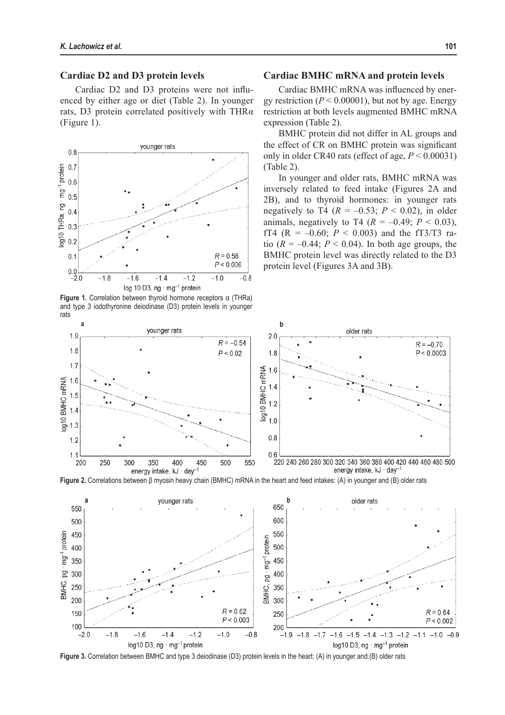## **Cardiac D2 and D3 protein levels**

Cardiac D2 and D3 proteins were not influenced by either age or diet (Table 2). In younger rats, D3 protein correlated positively with THRα (Figure 1).



**Figure 1.** Correlation between thyroid hormone receptors α (THRa) and type 3 iodothyronine deiodinase (D3) protein levels in younger rats

## **Cardiac BMHC mRNA and protein levels**

Cardiac BMHC mRNA was influenced by energy restriction  $(P < 0.00001)$ , but not by age. Energy restriction at both levels augmented BMHC mRNA expression (Table 2).

BMHC protein did not differ in AL groups and the effect of CR on BMHC protein was significant only in older CR40 rats (effect of age,  $P \le 0.00031$ ) (Table 2).

In younger and older rats, BMHC mRNA was inversely related to feed intake (Figures 2A and 2B), and to thyroid hormones: in younger rats negatively to T4 ( $R = -0.53$ ;  $P < 0.02$ ), in older animals, negatively to T4  $(R = -0.49; P < 0.03)$ , fT4 (R =  $-0.60$ ; *P* < 0.003) and the fT3/T3 ratio  $(R = -0.44; P < 0.04)$ . In both age groups, the BMHC protein level was directly related to the D3 protein level (Figures 3A and 3B).



**Figure 2.** Correlations between β myosin heavy chain (BMHC) mRNA in the heart and feed intakes: (A) in younger and (B) older rats



**Figure 3.** Correlation between BMHC and type 3 deiodinase (D3) protein levels in the heart: (A) in younger and (B) older rats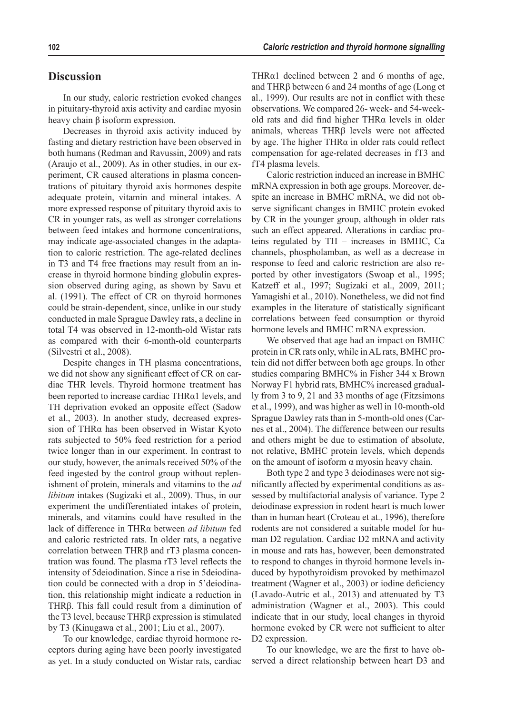# **Discussion**

In our study, caloric restriction evoked changes in pituitary-thyroid axis activity and cardiac myosin heavy chain β isoform expression.

Decreases in thyroid axis activity induced by fasting and dietary restriction have been observed in both humans (Redman and Ravussin, 2009) and rats (Araujo et al., 2009). As in other studies, in our experiment, CR caused alterations in plasma concentrations of pituitary thyroid axis hormones despite adequate protein, vitamin and mineral intakes. A more expressed response of pituitary thyroid axis to CR in younger rats, as well as stronger correlations between feed intakes and hormone concentrations, may indicate age-associated changes in the adaptation to caloric restriction. The age-related declines in T3 and T4 free fractions may result from an increase in thyroid hormone binding globulin expression observed during aging, as shown by Savu et al. (1991). The effect of CR on thyroid hormones could be strain-dependent, since, unlike in our study conducted in male Sprague Dawley rats, a decline in total T4 was observed in 12-month-old Wistar rats as compared with their 6-month-old counterparts (Silvestri et al., 2008).

Despite changes in TH plasma concentrations, we did not show any significant effect of CR on cardiac THR levels. Thyroid hormone treatment has been reported to increase cardiac THRα1 levels, and TH deprivation evoked an opposite effect (Sadow et al., 2003). In another study, decreased expression of THRα has been observed in Wistar Kyoto rats subjected to 50% feed restriction for a period twice longer than in our experiment. In contrast to our study, however, the animals received 50% of the feed ingested by the control group without replenishment of protein, minerals and vitamins to the *ad libitum* intakes (Sugizaki et al., 2009). Thus, in our experiment the undifferentiated intakes of protein, minerals, and vitamins could have resulted in the lack of difference in THRα between *ad libitum* fed and caloric restricted rats. In older rats, a negative correlation between THRβ and rT3 plasma concentration was found. The plasma rT3 level reflects the intensity of 5deiodination. Since a rise in 5deiodination could be connected with a drop in 5'deiodination, this relationship might indicate a reduction in THRβ. This fall could result from a diminution of the T3 level, because THRβ expression is stimulated by T3 (Kinugawa et al., 2001; Liu et al., 2007).

To our knowledge, cardiac thyroid hormone receptors during aging have been poorly investigated as yet. In a study conducted on Wistar rats, cardiac

THRα1 declined between 2 and 6 months of age, and THRβ between 6 and 24 months of age (Long et al., 1999). Our results are not in conflict with these observations. We compared 26- week- and 54-weekold rats and did find higher THRα levels in older animals, whereas THRβ levels were not affected by age. The higher THRα in older rats could reflect compensation for age-related decreases in fT3 and fT4 plasma levels.

Caloric restriction induced an increase in BMHC mRNA expression in both age groups. Moreover, despite an increase in BMHC mRNA, we did not observe significant changes in BMHC protein evoked by CR in the younger group, although in older rats such an effect appeared. Alterations in cardiac proteins regulated by TH – increases in BMHC, Ca channels, phospholamban, as well as a decrease in response to feed and caloric restriction are also reported by other investigators (Swoap et al., 1995; Katzeff et al., 1997; Sugizaki et al., 2009, 2011; Yamagishi et al., 2010). Nonetheless, we did not find examples in the literature of statistically significant correlations between feed consumption or thyroid hormone levels and BMHC mRNA expression.

We observed that age had an impact on BMHC protein in CR rats only, while in AL rats, BMHC protein did not differ between both age groups. In other studies comparing BMHC% in Fisher 344 x Brown Norway F1 hybrid rats, BMHC% increased gradually from 3 to 9, 21 and 33 months of age (Fitzsimons et al., 1999), and was higher as well in 10-month-old Sprague Dawley rats than in 5-month-old ones (Carnes et al., 2004). The difference between our results and others might be due to estimation of absolute, not relative, BMHC protein levels, which depends on the amount of isoform α myosin heavy chain.

Both type 2 and type 3 deiodinases were not significantly affected by experimental conditions as assessed by multifactorial analysis of variance. Type 2 deiodinase expression in rodent heart is much lower than in human heart (Croteau et at., 1996), therefore rodents are not considered a suitable model for human D2 regulation. Cardiac D2 mRNA and activity in mouse and rats has, however, been demonstrated to respond to changes in thyroid hormone levels induced by hypothyroidism provoked by methimazol treatment (Wagner et al., 2003) or iodine deficiency (Lavado-Autric et al., 2013) and attenuated by T3 administration (Wagner et al., 2003). This could indicate that in our study, local changes in thyroid hormone evoked by CR were not sufficient to alter D<sub>2</sub> expression.

To our knowledge, we are the first to have observed a direct relationship between heart D3 and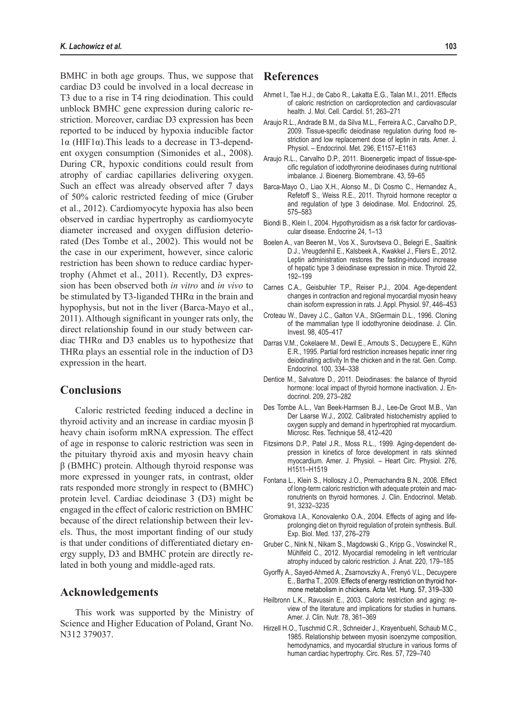BMHC in both age groups. Thus, we suppose that cardiac D3 could be involved in a local decrease in T3 due to a rise in T4 ring deiodination. This could unblock BMHC gene expression during caloric restriction. Moreover, cardiac D3 expression has been reported to be induced by hypoxia inducible factor 1α (HIF1α).This leads to a decrease in T3-dependent oxygen consumption (Simonides et al., 2008). During CR, hypoxic conditions could result from atrophy of cardiac capillaries delivering oxygen. Such an effect was already observed after 7 days of 50% caloric restricted feeding of mice (Gruber et al., 2012). Cardiomyocyte hypoxia has also been observed in cardiac hypertrophy as cardiomyocyte diameter increased and oxygen diffusion deteriorated (Des Tombe et al., 2002). This would not be the case in our experiment, however, since caloric restriction has been shown to reduce cardiac hypertrophy (Ahmet et al., 2011). Recently, D3 expression has been observed both *in vitro* and *in vivo* to be stimulated by T3-liganded THR $\alpha$  in the brain and hypophysis, but not in the liver (Barca-Mayo et al., 2011). Although significant in younger rats only, the direct relationship found in our study between cardiac THRα and D3 enables us to hypothesize that THRα plays an essential role in the induction of D3 expression in the heart.

# **Conclusions**

Caloric restricted feeding induced a decline in thyroid activity and an increase in cardiac myosin β heavy chain isoform mRNA expression. The effect of age in response to caloric restriction was seen in the pituitary thyroid axis and myosin heavy chain β (BMHC) protein. Although thyroid response was more expressed in younger rats, in contrast, older rats responded more strongly in respect to (BMHC) protein level. Cardiac deiodinase 3 (D3) might be engaged in the effect of caloric restriction on BMHC because of the direct relationship between their levels. Thus, the most important finding of our study is that under conditions of differentiated dietary energy supply, D3 and BMHC protein are directly related in both young and middle-aged rats.

## **Acknowledgements**

This work was supported by the Ministry of Science and Higher Education of Poland, Grant No. N312 379037.

# **References**

- Ahmet I., Tae H.J., de Cabo R., Lakatta E.G., Talan M.I., 2011. Effects of caloric restriction on cardioprotection and cardiovascular health. J. Mol. Cell. Cardiol. 51, 263–271
- Araujo R.L., Andrade B.M., da Silva M.L., Ferreira A.C., Carvalho D.P., 2009. Tissue-specific deiodinase regulation during food restriction and low replacement dose of leptin in rats. Amer. J. Physiol. – Endocrinol. Met. 296, E1157–E1163
- Araujo R.L., Carvalho D.P., 2011. Bioenergetic impact of tissue-specific regulation of iodothyronine deiodinases during nutritional imbalance. J. Bioenerg. Biomembrane. 43, 59–65
- Barca-Mayo O., Liao X.H., Alonso M., Di Cosmo C., Hernandez A., Refetoff S., Weiss R.E., 2011. Thyroid hormone receptor α and regulation of type 3 deiodinase. Mol. Endocrinol. 25, 575–583
- Biondi B., Klein I., 2004. Hypothyroidism as a risk factor for cardiovascular disease. Endocrine 24, 1–13
- Boelen A., van Beeren M., Vos X., Surovtseva O., Belegri E., Saaltink D.J., Vreugdenhil E., Kalsbeek A., Kwakkel J., Fliers E., 2012. Leptin administration restores the fasting-induced increase of hepatic type 3 deiodinase expression in mice. Thyroid 22, 192–199
- Carnes C.A., Geisbuhler T.P., Reiser P.J., 2004. Age-dependent changes in contraction and regional myocardial myosin heavy chain isoform expression in rats. J. Appl. Physiol. 97, 446–453
- Croteau W., Davey J.C., Galton V.A., StGermain D.L., 1996. Cloning of the mammalian type II iodothyronine deiodinase. J. Clin. Invest. 98, 405–417
- Darras V.M., Cokelaere M., Dewil E., Arnouts S., Decuypere E., Kühn E.R., 1995. Partial ford restriction increases hepatic inner ring deiodinating activity In the chicken and in the rat. Gen. Comp. Endocrinol. 100, 334–338
- Dentice M., Salvatore D., 2011. Deiodinases: the balance of thyroid hormone: local impact of thyroid hormone inactivation. J. Endocrinol. 209, 273–282
- Des Tombe A.L., Van Beek-Harmsen B.J., Lee-De Groot M.B., Van Der Laarse W.J., 2002. Calibrated histochemistry applied to oxygen supply and demand in hypertrophied rat myocardium. Microsc. Res. Technique 58, 412–420
- Fitzsimons D.P., Patel J.R., Moss R.L., 1999. Aging-dependent depression in kinetics of force development in rats skinned myocardium. Amer. J. Physiol. – Heart Circ. Physiol. 276, H1511–H1519
- Fontana L., Klein S., Holloszy J.O., Premachandra B.N., 2006. Effect of long-term caloric restriction with adequate protein and macronutrients on thyroid hormones. J. Clin. Endocrinol. Metab. 91, 3232–3235
- Gromakova I.A., Konovalenko O.A., 2004. Effects of aging and lifeprolonging diet on thyroid regulation of protein synthesis. Bull. Exp. Biol. Med. 137, 276–279
- Gruber C., Nink N., Nikam S., Magdowski G., Kripp G., Voswinckel R., Mühlfeld C., 2012. Myocardial remodeling in left ventricular atrophy induced by caloric restriction. J. Anat. 220, 179–185
- Gyorffy A., Sayed-Ahmed A., Zsarnovszky A., Frenyó V.L., Decuypere E., Bartha T., 2009. Effects of energy restriction on thyroid hormone metabolism in chickens. Acta Vet. Hung. 57, 319–330
- Heilbronn L.K., Ravussin E., 2003. Caloric restriction and aging: review of the literature and implications for studies in humans. Amer. J. Clin. Nutr. 78, 361–369
- Hirzell H.O., Tuschmid C.R., Schneider J., Krayenbuehl, Schaub M.C., 1985. Relationship between myosin isoenzyme composition, hemodynamics, and myocardial structure in various forms of human cardiac hypertrophy. Circ. Res. 57, 729–740